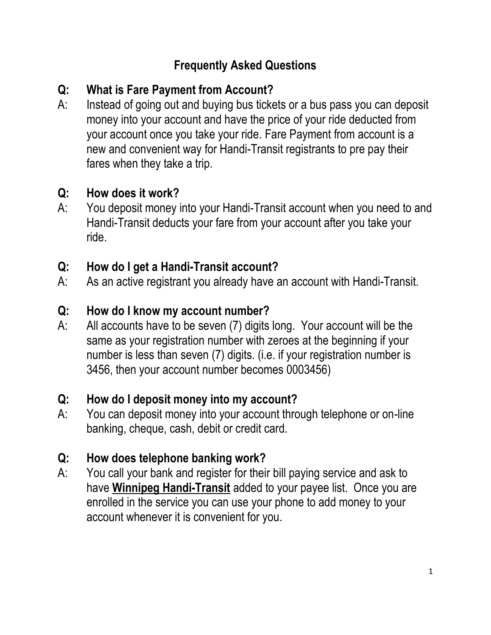## **Frequently Asked Questions**

# **Q: What is Fare Payment from Account?**

A: Instead of going out and buying bus tickets or a bus pass you can deposit money into your account and have the price of your ride deducted from your account once you take your ride. Fare Payment from account is a new and convenient way for Handi-Transit registrants to pre pay their fares when they take a trip.

### **Q: How does it work?**

A: You deposit money into your Handi-Transit account when you need to and Handi-Transit deducts your fare from your account after you take your ride.

### **Q: How do I get a Handi-Transit account?**

A: As an active registrant you already have an account with Handi-Transit.

## **Q: How do I know my account number?**

A: All accounts have to be seven (7) digits long. Your account will be the same as your registration number with zeroes at the beginning if your number is less than seven (7) digits. (i.e. if your registration number is 3456, then your account number becomes 0003456)

### **Q: How do I deposit money into my account?**

A: You can deposit money into your account through telephone or on-line banking, cheque, cash, debit or credit card.

### **Q: How does telephone banking work?**

A: You call your bank and register for their bill paying service and ask to have **Winnipeg Handi-Transit** added to your payee list. Once you are enrolled in the service you can use your phone to add money to your account whenever it is convenient for you.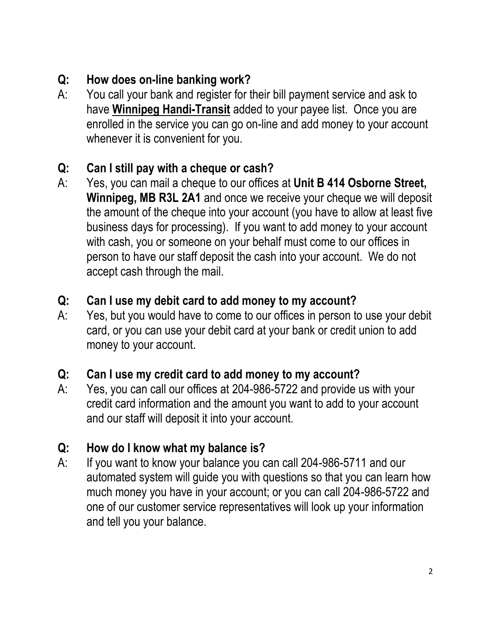## **Q: How does on-line banking work?**

A: You call your bank and register for their bill payment service and ask to have **Winnipeg Handi-Transit** added to your payee list. Once you are enrolled in the service you can go on-line and add money to your account whenever it is convenient for you.

### **Q: Can I still pay with a cheque or cash?**

A: Yes, you can mail a cheque to our offices at **Unit B 414 Osborne Street, Winnipeg, MB R3L 2A1** and once we receive your cheque we will deposit the amount of the cheque into your account (you have to allow at least five business days for processing). If you want to add money to your account with cash, you or someone on your behalf must come to our offices in person to have our staff deposit the cash into your account. We do not accept cash through the mail.

## **Q: Can I use my debit card to add money to my account?**

A: Yes, but you would have to come to our offices in person to use your debit card, or you can use your debit card at your bank or credit union to add money to your account.

### **Q: Can I use my credit card to add money to my account?**

A: Yes, you can call our offices at 204-986-5722 and provide us with your credit card information and the amount you want to add to your account and our staff will deposit it into your account.

## **Q: How do I know what my balance is?**

A: If you want to know your balance you can call 204-986-5711 and our automated system will guide you with questions so that you can learn how much money you have in your account; or you can call 204-986-5722 and one of our customer service representatives will look up your information and tell you your balance.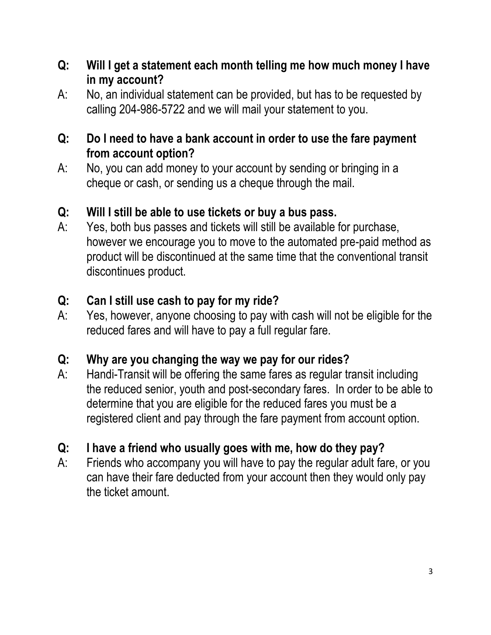- **Q: Will I get a statement each month telling me how much money I have in my account?**
- A: No, an individual statement can be provided, but has to be requested by calling 204-986-5722 and we will mail your statement to you.

#### **Q: Do I need to have a bank account in order to use the fare payment from account option?**

A: No, you can add money to your account by sending or bringing in a cheque or cash, or sending us a cheque through the mail.

### **Q: Will I still be able to use tickets or buy a bus pass.**

A: Yes, both bus passes and tickets will still be available for purchase, however we encourage you to move to the automated pre-paid method as product will be discontinued at the same time that the conventional transit discontinues product.

#### **Q: Can I still use cash to pay for my ride?**

A: Yes, however, anyone choosing to pay with cash will not be eligible for the reduced fares and will have to pay a full regular fare.

### **Q: Why are you changing the way we pay for our rides?**

A: Handi-Transit will be offering the same fares as regular transit including the reduced senior, youth and post-secondary fares. In order to be able to determine that you are eligible for the reduced fares you must be a registered client and pay through the fare payment from account option.

### **Q: I have a friend who usually goes with me, how do they pay?**

A: Friends who accompany you will have to pay the regular adult fare, or you can have their fare deducted from your account then they would only pay the ticket amount.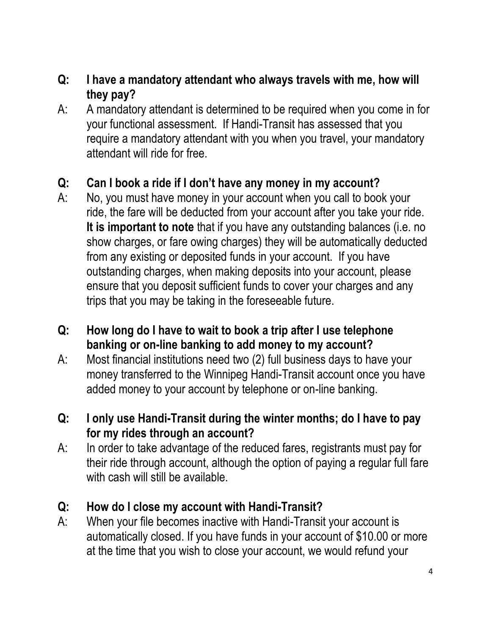#### **Q: I have a mandatory attendant who always travels with me, how will they pay?**

A: A mandatory attendant is determined to be required when you come in for your functional assessment. If Handi-Transit has assessed that you require a mandatory attendant with you when you travel, your mandatory attendant will ride for free.

### **Q: Can I book a ride if I don't have any money in my account?**

- A: No, you must have money in your account when you call to book your ride, the fare will be deducted from your account after you take your ride. **It is important to note** that if you have any outstanding balances (i.e. no show charges, or fare owing charges) they will be automatically deducted from any existing or deposited funds in your account. If you have outstanding charges, when making deposits into your account, please ensure that you deposit sufficient funds to cover your charges and any trips that you may be taking in the foreseeable future.
- **Q: How long do I have to wait to book a trip after I use telephone banking or on-line banking to add money to my account?**
- A: Most financial institutions need two (2) full business days to have your money transferred to the Winnipeg Handi-Transit account once you have added money to your account by telephone or on-line banking.
- **Q: I only use Handi-Transit during the winter months; do I have to pay for my rides through an account?**
- A: In order to take advantage of the reduced fares, registrants must pay for their ride through account, although the option of paying a regular full fare with cash will still be available.

### **Q: How do I close my account with Handi-Transit?**

A: When your file becomes inactive with Handi-Transit your account is automatically closed. If you have funds in your account of \$10.00 or more at the time that you wish to close your account, we would refund your